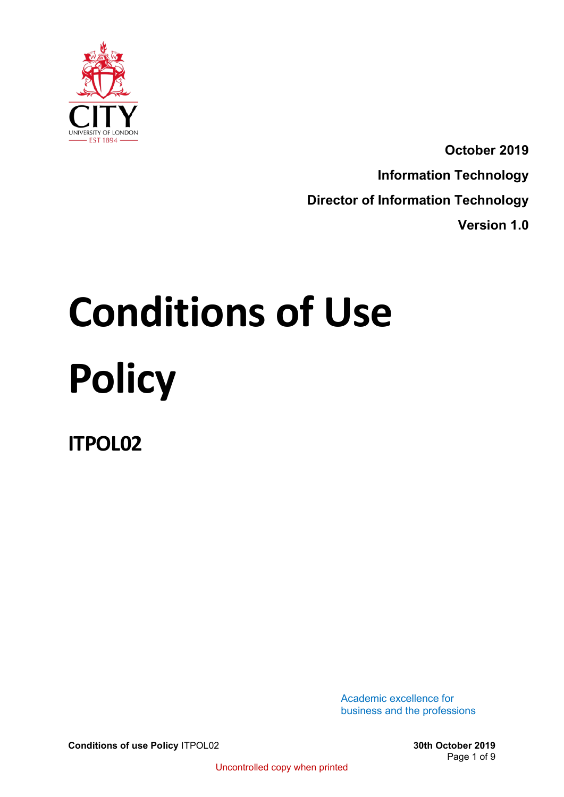

**October 2019 Information Technology Director of Information Technology Version 1.0**

# **Conditions of Use Policy**

**ITPOL02**

Academic excellence for business and the professions

**Conditions of use Policy** ITPOL02 **30th October 2019**

Page 1 of 9

Uncontrolled copy when printed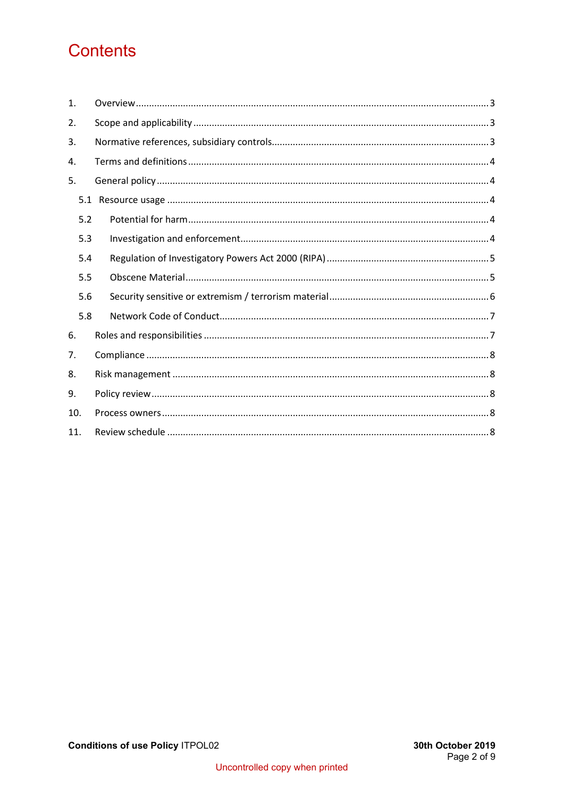# **Contents**

| $\mathbf{1}$ . |  |
|----------------|--|
| 2.             |  |
| 3.             |  |
| 4.             |  |
| 5.             |  |
| 5.1            |  |
| 5.2            |  |
| 5.3            |  |
| 5.4            |  |
| 5.5            |  |
| 5.6            |  |
| 5.8            |  |
| 6.             |  |
| 7.             |  |
| 8.             |  |
| 9.             |  |
| 10.            |  |
| 11.            |  |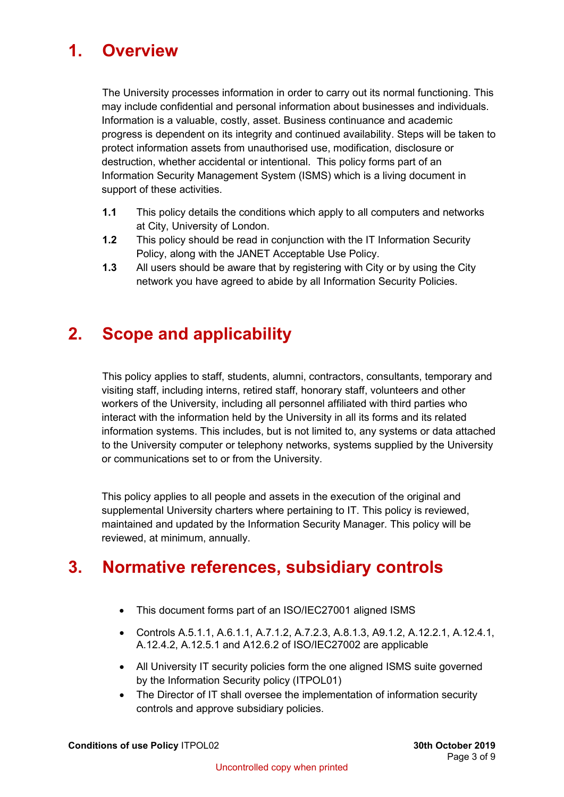# <span id="page-2-0"></span>**1. Overview**

The University processes information in order to carry out its normal functioning. This may include confidential and personal information about businesses and individuals. Information is a valuable, costly, asset. Business continuance and academic progress is dependent on its integrity and continued availability. Steps will be taken to protect information assets from unauthorised use, modification, disclosure or destruction, whether accidental or intentional. This policy forms part of an Information Security Management System (ISMS) which is a living document in support of these activities.

- **1.1** This policy details the conditions which apply to all computers and networks at City, University of London.
- **1.2** This policy should be read in conjunction with the IT Information Security Policy, along with the JANET Acceptable Use Policy.
- **1.3** All users should be aware that by registering with City or by using the City network you have agreed to abide by all Information Security Policies.

# <span id="page-2-1"></span>**2. Scope and applicability**

This policy applies to staff, students, alumni, contractors, consultants, temporary and visiting staff, including interns, retired staff, honorary staff, volunteers and other workers of the University, including all personnel affiliated with third parties who interact with the information held by the University in all its forms and its related information systems. This includes, but is not limited to, any systems or data attached to the University computer or telephony networks, systems supplied by the University or communications set to or from the University.

This policy applies to all people and assets in the execution of the original and supplemental University charters where pertaining to IT. This policy is reviewed, maintained and updated by the Information Security Manager. This policy will be reviewed, at minimum, annually.

# <span id="page-2-2"></span>**3. Normative references, subsidiary controls**

- This document forms part of an ISO/IEC27001 aligned ISMS
- Controls A.5.1.1, A.6.1.1, A.7.1.2, A.7.2.3, A.8.1.3, A9.1.2, A.12.2.1, A.12.4.1, A.12.4.2, A.12.5.1 and A12.6.2 of ISO/IEC27002 are applicable
- All University IT security policies form the one aligned ISMS suite governed by the Information Security policy (ITPOL01)
- The Director of IT shall oversee the implementation of information security controls and approve subsidiary policies.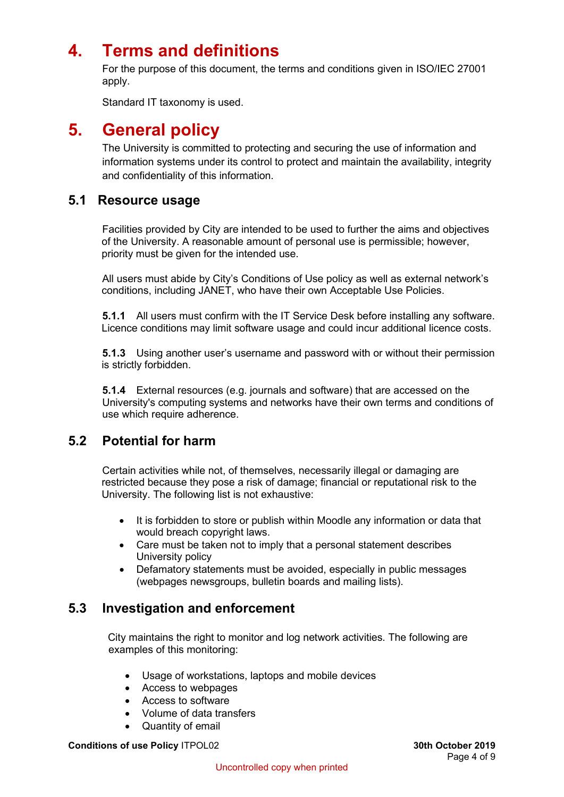# <span id="page-3-0"></span>**4. Terms and definitions**

For the purpose of this document, the terms and conditions given in ISO/IEC 27001 apply.

Standard IT taxonomy is used.

## <span id="page-3-1"></span>**5. General policy**

The University is committed to protecting and securing the use of information and information systems under its control to protect and maintain the availability, integrity and confidentiality of this information.

## <span id="page-3-2"></span>**5.1 Resource usage**

Facilities provided by City are intended to be used to further the aims and objectives of the University. A reasonable amount of personal use is permissible; however, priority must be given for the intended use.

All users must abide by City's Conditions of Use policy as well as external network's conditions, including JANET, who have their own Acceptable Use Policies.

**5.1.1** All users must confirm with the IT Service Desk before installing any software. Licence conditions may limit software usage and could incur additional licence costs.

**5.1.3** Using another user's username and password with or without their permission is strictly forbidden.

**5.1.4** External resources (e.g. journals and software) that are accessed on the University's computing systems and networks have their own terms and conditions of use which require adherence.

## <span id="page-3-3"></span>**5.2 Potential for harm**

Certain activities while not, of themselves, necessarily illegal or damaging are restricted because they pose a risk of damage; financial or reputational risk to the University. The following list is not exhaustive:

- It is forbidden to store or publish within Moodle any information or data that would breach copyright laws.
- Care must be taken not to imply that a personal statement describes University policy
- Defamatory statements must be avoided, especially in public messages (webpages newsgroups, bulletin boards and mailing lists).

## <span id="page-3-4"></span>**5.3 Investigation and enforcement**

City maintains the right to monitor and log network activities. The following are examples of this monitoring:

- Usage of workstations, laptops and mobile devices
- Access to webpages
- Access to software
- Volume of data transfers
- Quantity of email

**Conditions of use Policy** ITPOL02 **30th October 2019**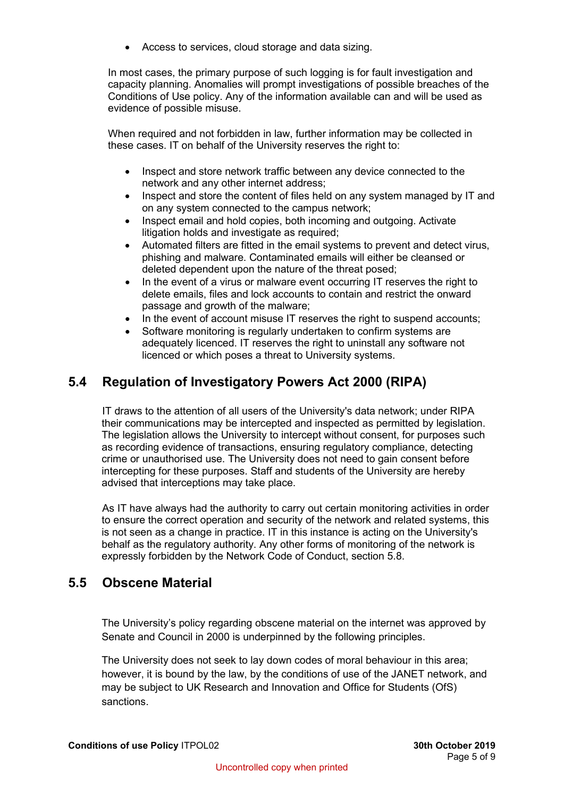• Access to services, cloud storage and data sizing.

In most cases, the primary purpose of such logging is for fault investigation and capacity planning. Anomalies will prompt investigations of possible breaches of the Conditions of Use policy. Any of the information available can and will be used as evidence of possible misuse.

When required and not forbidden in law, further information may be collected in these cases. IT on behalf of the University reserves the right to:

- Inspect and store network traffic between any device connected to the network and any other internet address;
- Inspect and store the content of files held on any system managed by IT and on any system connected to the campus network;
- Inspect email and hold copies, both incoming and outgoing. Activate litigation holds and investigate as required;
- Automated filters are fitted in the email systems to prevent and detect virus, phishing and malware. Contaminated emails will either be cleansed or deleted dependent upon the nature of the threat posed;
- In the event of a virus or malware event occurring IT reserves the right to delete emails, files and lock accounts to contain and restrict the onward passage and growth of the malware;
- In the event of account misuse IT reserves the right to suspend accounts;
- Software monitoring is regularly undertaken to confirm systems are adequately licenced. IT reserves the right to uninstall any software not licenced or which poses a threat to University systems.

## <span id="page-4-0"></span>**5.4 Regulation of Investigatory Powers Act 2000 (RIPA)**

IT draws to the attention of all users of the University's data network; under RIPA their communications may be intercepted and inspected as permitted by legislation. The legislation allows the University to intercept without consent, for purposes such as recording evidence of transactions, ensuring regulatory compliance, detecting crime or unauthorised use. The University does not need to gain consent before intercepting for these purposes. Staff and students of the University are hereby advised that interceptions may take place.

As IT have always had the authority to carry out certain monitoring activities in order to ensure the correct operation and security of the network and related systems, this is not seen as a change in practice. IT in this instance is acting on the University's behalf as the regulatory authority. Any other forms of monitoring of the network is expressly forbidden by the Network Code of Conduct, section 5.8.

## <span id="page-4-1"></span>**5.5 Obscene Material**

The University's policy regarding obscene material on the internet was approved by Senate and Council in 2000 is underpinned by the following principles.

The University does not seek to lay down codes of moral behaviour in this area; however, it is bound by the law, by the conditions of use of the JANET network, and may be subject to UK Research and Innovation and Office for Students (OfS) sanctions.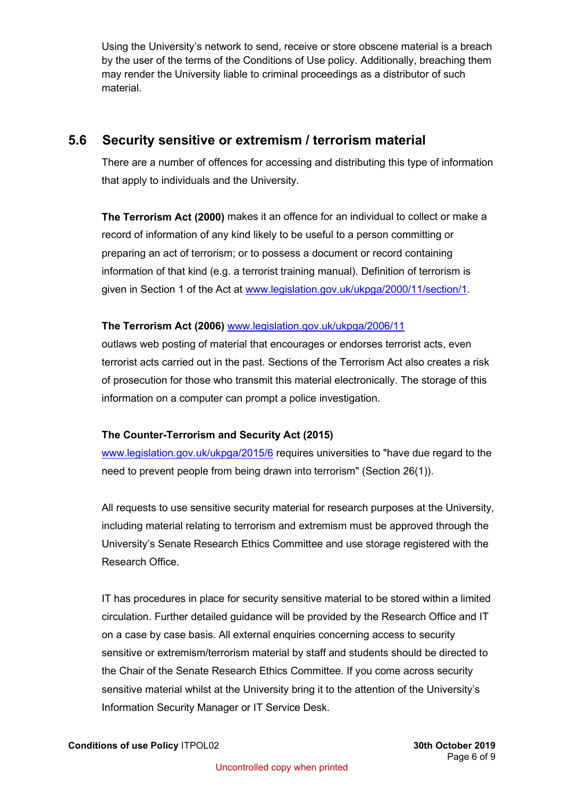Using the University's network to send, receive or store obscene material is a breach by the user of the terms of the Conditions of Use policy. Additionally, breaching them may render the University liable to criminal proceedings as a distributor of such material.

## <span id="page-5-0"></span>**5.6 Security sensitive or extremism / terrorism material**

There are a number of offences for accessing and distributing this type of information that apply to individuals and the University.

**The Terrorism Act (2000)** makes it an offence for an individual to collect or make a record of information of any kind likely to be useful to a person committing or preparing an act of terrorism; or to possess a document or record containing information of that kind (e.g. a terrorist training manual). Definition of terrorism is given in Section 1 of the Act at [www.legislation.gov.uk/ukpga/2000/11/section/1.](http://www.legislation.gov.uk/ukpga/2000/11/section/1)

#### **The Terrorism Act (2006)** [www.legislation.gov.uk/ukpga/2006/11](http://www.legislation.gov.uk/ukpga/2006/11)

outlaws web posting of material that encourages or endorses terrorist acts, even terrorist acts carried out in the past. Sections of the Terrorism Act also creates a risk of prosecution for those who transmit this material electronically. The storage of this information on a computer can prompt a police investigation.

#### **The Counter-Terrorism and Security Act (2015)**

[www.legislation.gov.uk/ukpga/2015/6](http://www.legislation.gov.uk/ukpga/2015/6) requires universities to "have due regard to the need to prevent people from being drawn into terrorism" (Section 26(1)).

All requests to use sensitive security material for research purposes at the University, including material relating to terrorism and extremism must be approved through the University's Senate Research Ethics Committee and use storage registered with the Research Office.

IT has procedures in place for security sensitive material to be stored within a limited circulation. Further detailed guidance will be provided by the Research Office and IT on a case by case basis. All external enquiries concerning access to security sensitive or extremism/terrorism material by staff and students should be directed to the Chair of the Senate Research Ethics Committee. If you come across security sensitive material whilst at the University bring it to the attention of the University's Information Security Manager or IT Service Desk.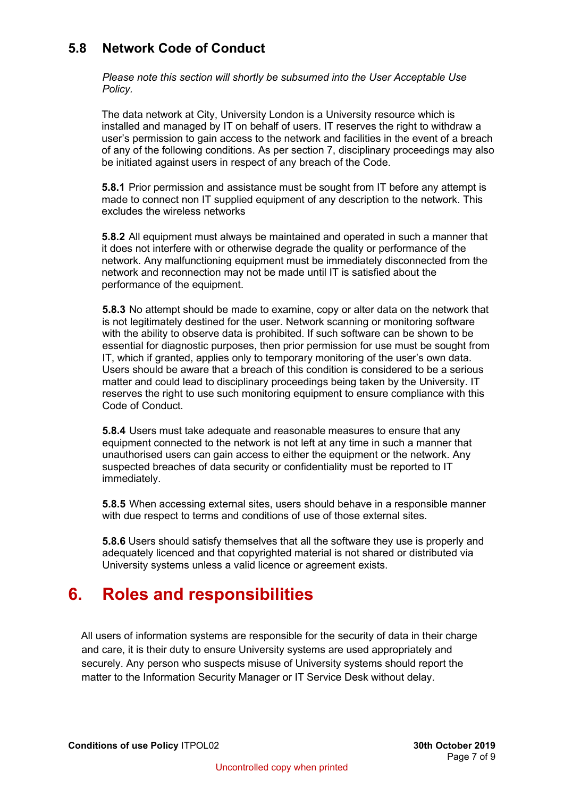## <span id="page-6-0"></span>**5.8 Network Code of Conduct**

*Please note this section will shortly be subsumed into the User Acceptable Use Policy.*

The data network at City, University London is a University resource which is installed and managed by IT on behalf of users. IT reserves the right to withdraw a user's permission to gain access to the network and facilities in the event of a breach of any of the following conditions. As per section 7, disciplinary proceedings may also be initiated against users in respect of any breach of the Code.

**5.8.1** Prior permission and assistance must be sought from IT before any attempt is made to connect non IT supplied equipment of any description to the network. This excludes the wireless networks

**5.8.2** All equipment must always be maintained and operated in such a manner that it does not interfere with or otherwise degrade the quality or performance of the network. Any malfunctioning equipment must be immediately disconnected from the network and reconnection may not be made until IT is satisfied about the performance of the equipment.

**5.8.3** No attempt should be made to examine, copy or alter data on the network that is not legitimately destined for the user. Network scanning or monitoring software with the ability to observe data is prohibited. If such software can be shown to be essential for diagnostic purposes, then prior permission for use must be sought from IT, which if granted, applies only to temporary monitoring of the user's own data. Users should be aware that a breach of this condition is considered to be a serious matter and could lead to disciplinary proceedings being taken by the University. IT reserves the right to use such monitoring equipment to ensure compliance with this Code of Conduct.

**5.8.4** Users must take adequate and reasonable measures to ensure that any equipment connected to the network is not left at any time in such a manner that unauthorised users can gain access to either the equipment or the network. Any suspected breaches of data security or confidentiality must be reported to IT immediately.

**5.8.5** When accessing external sites, users should behave in a responsible manner with due respect to terms and conditions of use of those external sites.

**5.8.6** Users should satisfy themselves that all the software they use is properly and adequately licenced and that copyrighted material is not shared or distributed via University systems unless a valid licence or agreement exists.

# <span id="page-6-1"></span>**6. Roles and responsibilities**

All users of information systems are responsible for the security of data in their charge and care, it is their duty to ensure University systems are used appropriately and securely. Any person who suspects misuse of University systems should report the matter to the Information Security Manager or IT Service Desk without delay.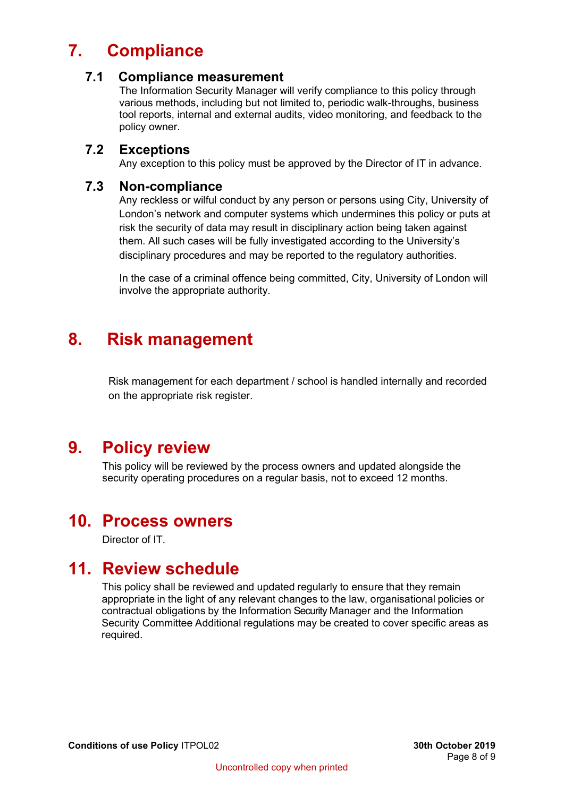# **7. Compliance**

#### <span id="page-7-0"></span>**7.1 Compliance measurement**

The Information Security Manager will verify compliance to this policy through various methods, including but not limited to, periodic walk-throughs, business tool reports, internal and external audits, video monitoring, and feedback to the policy owner.

#### **7.2 Exceptions**

Any exception to this policy must be approved by the Director of IT in advance.

#### **7.3 Non-compliance**

Any reckless or wilful conduct by any person or persons using City, University of London's network and computer systems which undermines this policy or puts at risk the security of data may result in disciplinary action being taken against them. All such cases will be fully investigated according to the University's disciplinary procedures and may be reported to the regulatory authorities.

In the case of a criminal offence being committed, City, University of London will involve the appropriate authority.

# <span id="page-7-1"></span>**8. Risk management**

Risk management for each department / school is handled internally and recorded on the appropriate risk register.

# <span id="page-7-2"></span>**9. Policy review**

This policy will be reviewed by the process owners and updated alongside the security operating procedures on a regular basis, not to exceed 12 months.

## <span id="page-7-3"></span>**10. Process owners**

Director of IT.

## <span id="page-7-4"></span>**11. Review schedule**

This policy shall be reviewed and updated regularly to ensure that they remain appropriate in the light of any relevant changes to the law, organisational policies or contractual obligations by the Information Security Manager and the Information Security Committee Additional regulations may be created to cover specific areas as required.